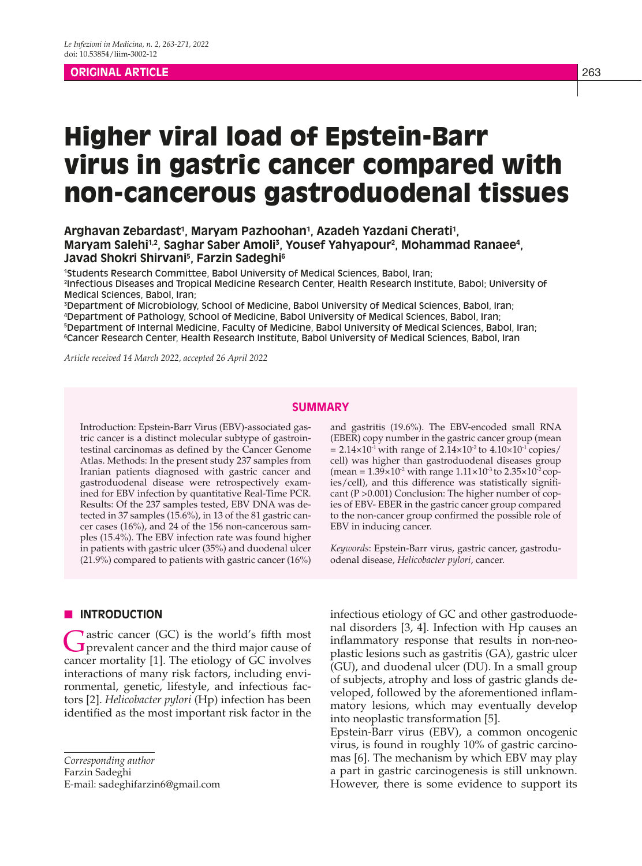# **ORIGINAL ARTICLE** 263

# Higher viral load of Epstein-Barr virus in gastric cancer compared with non-cancerous gastroduodenal tissues

# Arghavan Zebardast<sup>1</sup>, Maryam Pazhoohan<sup>1</sup>, Azadeh Yazdani Cherati<sup>1</sup>, **Maryam Salehi1,2, Saghar Saber Amoli3 , Yousef Yahyapour2 , Mohammad Ranaee4 , Javad Shokri Shirvani5 , Farzin Sadeghi6**

1 Students Research Committee, Babol University of Medical Sciences, Babol, Iran; 2 Infectious Diseases and Tropical Medicine Research Center, Health Research Institute, Babol; University of Medical Sciences, Babol, Iran;

 Department of Microbiology, School of Medicine, Babol University of Medical Sciences, Babol, Iran; Department of Pathology, School of Medicine, Babol University of Medical Sciences, Babol, Iran; Department of Internal Medicine, Faculty of Medicine, Babol University of Medical Sciences, Babol, Iran; Cancer Research Center, Health Research Institute, Babol University of Medical Sciences, Babol, Iran

*Article received 14 March 2022, accepted 26 April 2022*

#### **SUMMARY**

Introduction: Epstein-Barr Virus (EBV)-associated gastric cancer is a distinct molecular subtype of gastrointestinal carcinomas as defined by the Cancer Genome Atlas. Methods: In the present study 237 samples from Iranian patients diagnosed with gastric cancer and gastroduodenal disease were retrospectively examined for EBV infection by quantitative Real-Time PCR. Results: Of the 237 samples tested, EBV DNA was detected in 37 samples (15.6%), in 13 of the 81 gastric cancer cases (16%), and 24 of the 156 non-cancerous samples (15.4%). The EBV infection rate was found higher in patients with gastric ulcer (35%) and duodenal ulcer (21.9%) compared to patients with gastric cancer (16%)

# **N** INTRODUCTION

Gastric cancer (GC) is the world's fifth most<br>
prevalent cancer and the third major cause of cancer mortality [1]. The etiology of GC involves interactions of many risk factors, including environmental, genetic, lifestyle, and infectious factors [2]. *Helicobacter pylori* (Hp) infection has been identified as the most important risk factor in the

*Corresponding author* Farzin Sadeghi

E-mail: sadeghifarzin6@gmail.com

and gastritis (19.6%). The EBV-encoded small RNA (EBER) copy number in the gastric cancer group (mean  $= 2.14 \times 10^{-1}$  with range of  $2.14 \times 10^{-2}$  to  $4.10 \times 10^{-1}$  copies/ cell) was higher than gastroduodenal diseases group (mean =  $1.39 \times 10^{-2}$  with range  $1.11 \times 10^{-3}$  to  $2.35 \times 10^{-2}$  copies/cell), and this difference was statistically significant (P >0.001) Conclusion: The higher number of copies of EBV- EBER in the gastric cancer group compared to the non-cancer group confirmed the possible role of EBV in inducing cancer.

*Keywords*: Epstein-Barr virus, gastric cancer, gastroduodenal disease, *Helicobacter pylori*, cancer.

infectious etiology of GC and other gastroduodenal disorders [3, 4]. Infection with Hp causes an inflammatory response that results in non-neoplastic lesions such as gastritis (GA), gastric ulcer (GU), and duodenal ulcer (DU). In a small group of subjects, atrophy and loss of gastric glands developed, followed by the aforementioned inflammatory lesions, which may eventually develop into neoplastic transformation [5].

Epstein-Barr virus (EBV), a common oncogenic virus, is found in roughly 10% of gastric carcinomas [6]. The mechanism by which EBV may play a part in gastric carcinogenesis is still unknown. However, there is some evidence to support its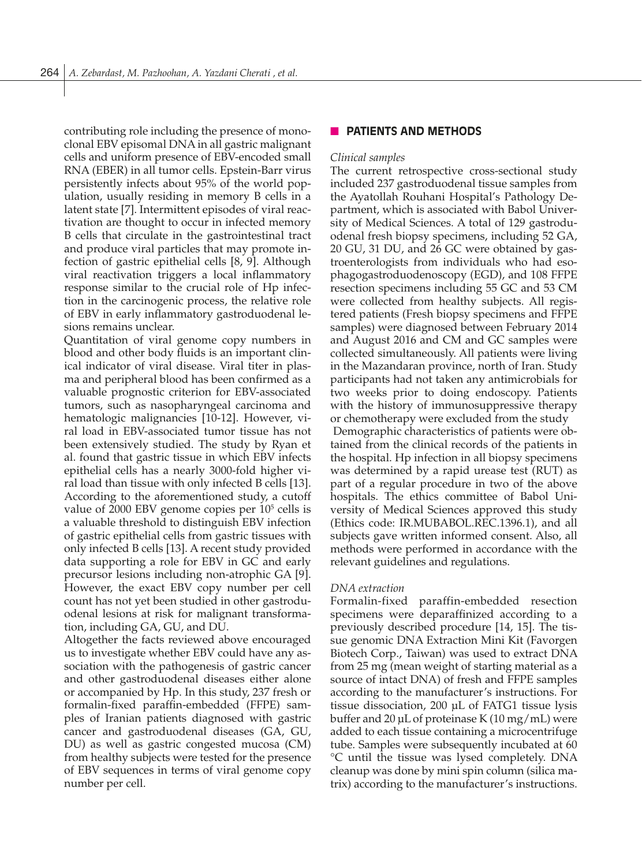contributing role including the presence of monoclonal EBV episomal DNA in all gastric malignant cells and uniform presence of EBV-encoded small RNA (EBER) in all tumor cells. Epstein-Barr virus persistently infects about 95% of the world population, usually residing in memory B cells in a latent state [7]. Intermittent episodes of viral reactivation are thought to occur in infected memory B cells that circulate in the gastrointestinal tract and produce viral particles that may promote infection of gastric epithelial cells [8, 9]. Although viral reactivation triggers a local inflammatory response similar to the crucial role of Hp infection in the carcinogenic process, the relative role of EBV in early inflammatory gastroduodenal lesions remains unclear.

Quantitation of viral genome copy numbers in blood and other body fluids is an important clinical indicator of viral disease. Viral titer in plasma and peripheral blood has been confirmed as a valuable prognostic criterion for EBV-associated tumors, such as nasopharyngeal carcinoma and hematologic malignancies [10-12]. However, viral load in EBV-associated tumor tissue has not been extensively studied. The study by Ryan et al. found that gastric tissue in which EBV infects epithelial cells has a nearly 3000-fold higher viral load than tissue with only infected B cells [13]. According to the aforementioned study, a cutoff value of  $2000$  EBV genome copies per  $10<sup>5</sup>$  cells is a valuable threshold to distinguish EBV infection of gastric epithelial cells from gastric tissues with only infected B cells [13]. A recent study provided data supporting a role for EBV in GC and early precursor lesions including non-atrophic GA [9]. However, the exact EBV copy number per cell count has not yet been studied in other gastroduodenal lesions at risk for malignant transformation, including GA, GU, and DU.

Altogether the facts reviewed above encouraged us to investigate whether EBV could have any association with the pathogenesis of gastric cancer and other gastroduodenal diseases either alone or accompanied by Hp. In this study, 237 fresh or formalin-fixed paraffin-embedded (FFPE) samples of Iranian patients diagnosed with gastric cancer and gastroduodenal diseases (GA, GU, DU) as well as gastric congested mucosa (CM) from healthy subjects were tested for the presence of EBV sequences in terms of viral genome copy number per cell.

# **NO PATIENTS AND METHODS**

#### *Clinical samples*

The current retrospective cross-sectional study included 237 gastroduodenal tissue samples from the Ayatollah Rouhani Hospital's Pathology Department, which is associated with Babol University of Medical Sciences. A total of 129 gastroduodenal fresh biopsy specimens, including 52 GA, 20 GU, 31 DU, and 26 GC were obtained by gastroenterologists from individuals who had esophagogastroduodenoscopy (EGD), and 108 FFPE resection specimens including 55 GC and 53 CM were collected from healthy subjects. All registered patients (Fresh biopsy specimens and FFPE samples) were diagnosed between February 2014 and August 2016 and CM and GC samples were collected simultaneously. All patients were living in the Mazandaran province, north of Iran. Study participants had not taken any antimicrobials for two weeks prior to doing endoscopy. Patients with the history of immunosuppressive therapy or chemotherapy were excluded from the study Demographic characteristics of patients were obtained from the clinical records of the patients in the hospital. Hp infection in all biopsy specimens was determined by a rapid urease test (RUT) as part of a regular procedure in two of the above hospitals. The ethics committee of Babol University of Medical Sciences approved this study (Ethics code: IR.MUBABOL.REC.1396.1), and all subjects gave written informed consent. Also, all methods were performed in accordance with the relevant guidelines and regulations.

#### *DNA extraction*

Formalin-fixed paraffin-embedded resection specimens were deparaffinized according to a previously described procedure [14, 15]. The tissue genomic DNA Extraction Mini Kit (Favorgen Biotech Corp., Taiwan) was used to extract DNA from 25 mg (mean weight of starting material as a source of intact DNA) of fresh and FFPE samples according to the manufacturer's instructions. For tissue dissociation, 200 μL of FATG1 tissue lysis buffer and 20 μL of proteinase K (10 mg/mL) were added to each tissue containing a microcentrifuge tube. Samples were subsequently incubated at 60 °C until the tissue was lysed completely. DNA cleanup was done by mini spin column (silica matrix) according to the manufacturer's instructions.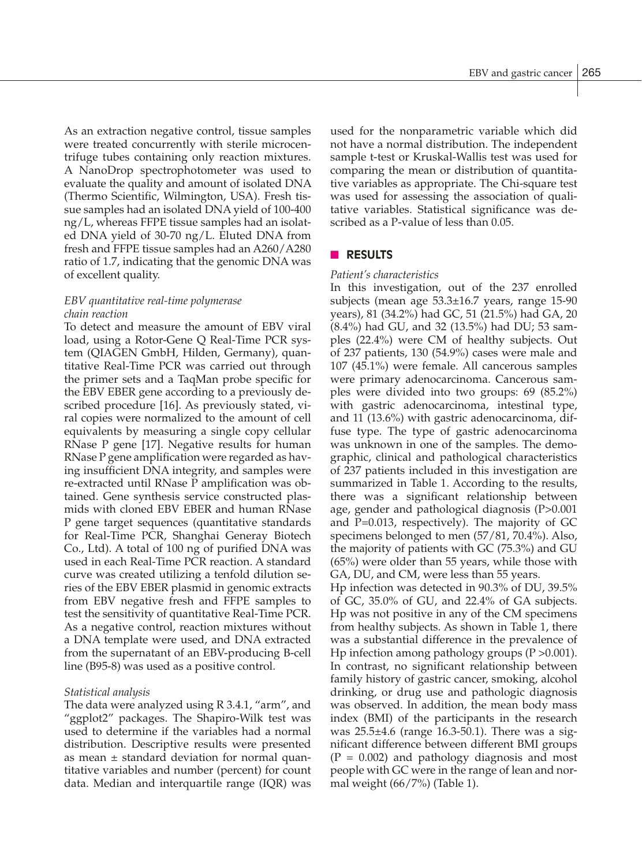As an extraction negative control, tissue samples were treated concurrently with sterile microcentrifuge tubes containing only reaction mixtures. A NanoDrop spectrophotometer was used to evaluate the quality and amount of isolated DNA (Thermo Scientific, Wilmington, USA). Fresh tissue samples had an isolated DNA yield of 100-400 ng/L, whereas FFPE tissue samples had an isolated DNA yield of 30-70 ng/L. Eluted DNA from fresh and FFPE tissue samples had an A260/A280 ratio of 1.7, indicating that the genomic DNA was of excellent quality.

# *EBV quantitative real-time polymerase chain reaction*

To detect and measure the amount of EBV viral load, using a Rotor-Gene Q Real-Time PCR system (QIAGEN GmbH, Hilden, Germany), quantitative Real-Time PCR was carried out through the primer sets and a TaqMan probe specific for the EBV EBER gene according to a previously described procedure [16]. As previously stated, viral copies were normalized to the amount of cell equivalents by measuring a single copy cellular RNase P gene [17]. Negative results for human RNase P gene amplification were regarded as having insufficient DNA integrity, and samples were re-extracted until RNase P amplification was obtained. Gene synthesis service constructed plasmids with cloned EBV EBER and human RNase P gene target sequences (quantitative standards for Real-Time PCR, Shanghai Generay Biotech Co., Ltd). A total of 100 ng of purified DNA was used in each Real-Time PCR reaction. A standard curve was created utilizing a tenfold dilution series of the EBV EBER plasmid in genomic extracts from EBV negative fresh and FFPE samples to test the sensitivity of quantitative Real-Time PCR. As a negative control, reaction mixtures without a DNA template were used, and DNA extracted from the supernatant of an EBV-producing B-cell line (B95-8) was used as a positive control.

# *Statistical analysis*

The data were analyzed using R 3.4.1, "arm", and "ggplot2" packages. The Shapiro-Wilk test was used to determine if the variables had a normal distribution. Descriptive results were presented as mean ± standard deviation for normal quantitative variables and number (percent) for count data. Median and interquartile range (IQR) was used for the nonparametric variable which did not have a normal distribution. The independent sample t-test or Kruskal-Wallis test was used for comparing the mean or distribution of quantitative variables as appropriate. The Chi-square test was used for assessing the association of qualitative variables. Statistical significance was described as a P-value of less than 0.05.

# **n RESULTS**

#### *Patient's characteristics*

In this investigation, out of the 237 enrolled subjects (mean age 53.3±16.7 years, range 15-90 years), 81 (34.2%) had GC, 51 (21.5%) had GA, 20 (8.4%) had GU, and 32 (13.5%) had DU; 53 samples (22.4%) were CM of healthy subjects. Out of 237 patients, 130 (54.9%) cases were male and 107 (45.1%) were female. All cancerous samples were primary adenocarcinoma. Cancerous samples were divided into two groups: 69 (85.2%) with gastric adenocarcinoma, intestinal type, and 11 (13.6%) with gastric adenocarcinoma, diffuse type. The type of gastric adenocarcinoma was unknown in one of the samples. The demographic, clinical and pathological characteristics of 237 patients included in this investigation are summarized in Table 1. According to the results, there was a significant relationship between age, gender and pathological diagnosis (P>0.001 and  $P=0.013$ , respectively). The majority of GC specimens belonged to men (57/81, 70.4%). Also, the majority of patients with GC (75.3%) and GU (65%) were older than 55 years, while those with GA, DU, and CM, were less than 55 years.

Hp infection was detected in 90.3% of DU, 39.5% of GC, 35.0% of GU, and 22.4% of GA subjects. Hp was not positive in any of the CM specimens from healthy subjects. As shown in Table 1, there was a substantial difference in the prevalence of Hp infection among pathology groups (P >0.001). In contrast, no significant relationship between family history of gastric cancer, smoking, alcohol drinking, or drug use and pathologic diagnosis was observed. In addition, the mean body mass index (BMI) of the participants in the research was 25.5±4.6 (range 16.3-50.1). There was a significant difference between different BMI groups  $(P = 0.002)$  and pathology diagnosis and most people with GC were in the range of lean and normal weight (66/7%) (Table 1).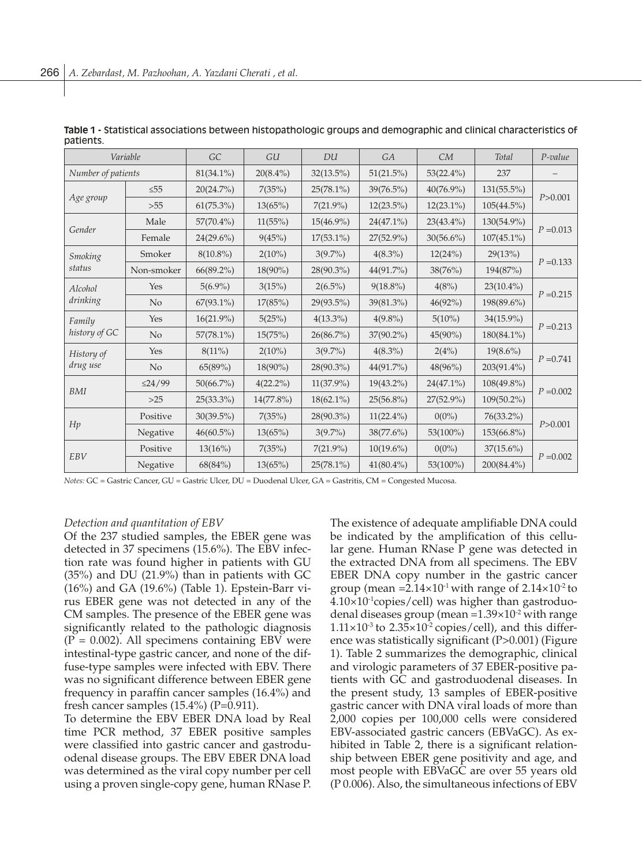| Variable                 |                | GC           | GU           | DU           | <b>GA</b>    | CM           | <b>Total</b>  | $P$ -value  |
|--------------------------|----------------|--------------|--------------|--------------|--------------|--------------|---------------|-------------|
| Number of patients       |                | $81(34.1\%)$ | $20(8.4\%)$  | $32(13.5\%)$ | 51(21.5%)    | $53(22.4\%)$ | 237           |             |
| Age group                | $\leq 55$      | 20(24.7%)    | 7(35%)       | 25(78.1%)    | $39(76.5\%)$ | 40(76.9%)    | 131(55.5%)    | P > 0.001   |
|                          | >55            | $61(75.3\%)$ | 13(65%)      | $7(21.9\%)$  | $12(23.5\%)$ | $12(23.1\%)$ | $105(44.5\%)$ |             |
| Gender                   | Male           | $57(70.4\%)$ | 11(55%)      | $15(46.9\%)$ | $24(47.1\%)$ | $23(43.4\%)$ | 130(54.9%)    | $P = 0.013$ |
|                          | Female         | $24(29.6\%)$ | 9(45%)       | $17(53.1\%)$ | $27(52.9\%)$ | $30(56.6\%)$ | $107(45.1\%)$ |             |
| <b>Smoking</b><br>status | Smoker         | $8(10.8\%)$  | $2(10\%)$    | $3(9.7\%)$   | $4(8.3\%)$   | 12(24%)      | 29(13%)       | $P = 0.133$ |
|                          | Non-smoker     | $66(89.2\%)$ | 18(90%)      | 28(90.3%)    | 44(91.7%)    | 38(76%)      | 194(87%)      |             |
| Alcohol<br>drinking      | Yes            | $5(6.9\%)$   | 3(15%)       | $2(6.5\%)$   | $9(18.8\%)$  | 4(8%)        | $23(10.4\%)$  | $P = 0.215$ |
|                          | N <sub>o</sub> | $67(93.1\%)$ | 17(85%)      | 29(93.5%)    | 39(81.3%)    | 46(92%)      | 198(89.6%)    |             |
| Family<br>history of GC  | Yes            | 16(21.9%)    | 5(25%)       | $4(13.3\%)$  | $4(9.8\%)$   | $5(10\%)$    | 34(15.9%)     | $P = 0.213$ |
|                          | N <sub>o</sub> | $57(78.1\%)$ | 15(75%)      | $26(86.7\%)$ | $37(90.2\%)$ | 45(90%)      | $180(84.1\%)$ |             |
| History of<br>drug use   | Yes            | $8(11\%)$    | $2(10\%)$    | $3(9.7\%)$   | $4(8.3\%)$   | 2(4%)        | $19(8.6\%)$   | $P = 0.741$ |
|                          | N <sub>o</sub> | 65(89%)      | 18(90%)      | 28(90.3%)    | 44(91.7%)    | 48(96%)      | 203(91.4%)    |             |
| <b>BMI</b>               | $\leq$ 24/99   | $50(66.7\%)$ | $4(22.2\%)$  | $11(37.9\%)$ | $19(43.2\%)$ | 24(47.1%)    | 108(49.8%)    | $P = 0.002$ |
|                          | $>25$          | 25(33.3%)    | $14(77.8\%)$ | $18(62.1\%)$ | 25(56.8%)    | 27(52.9%)    | $109(50.2\%)$ |             |
| Hp                       | Positive       | $30(39.5\%)$ | 7(35%)       | 28(90.3%)    | $11(22.4\%)$ | $0(0\%)$     | 76(33.2%)     | P > 0.001   |
|                          | Negative       | $46(60.5\%)$ | 13(65%)      | $3(9.7\%)$   | 38(77.6%)    | 53(100%)     | 153(66.8%)    |             |
| EBV                      | Positive       | 13(16%)      | 7(35%)       | $7(21.9\%)$  | $10(19.6\%)$ | $0(0\%)$     | $37(15.6\%)$  | $P = 0.002$ |
|                          | Negative       | 68(84%)      | 13(65%)      | 25(78.1%)    | $41(80.4\%)$ | 53(100%)     | 200(84.4%)    |             |

**Table 1 -** Statistical associations between histopathologic groups and demographic and clinical characteristics of patients.

*Notes:* GC = Gastric Cancer, GU = Gastric Ulcer, DU = Duodenal Ulcer, GA = Gastritis, CM = Congested Mucosa.

#### *Detection and quantitation of EBV*

Of the 237 studied samples, the EBER gene was detected in 37 specimens (15.6%). The EBV infection rate was found higher in patients with GU (35%) and DU (21.9%) than in patients with GC (16%) and GA (19.6%) (Table 1). Epstein-Barr virus EBER gene was not detected in any of the CM samples. The presence of the EBER gene was significantly related to the pathologic diagnosis  $(P = 0.002)$ . All specimens containing EBV were intestinal-type gastric cancer, and none of the diffuse-type samples were infected with EBV. There was no significant difference between EBER gene frequency in paraffin cancer samples (16.4%) and fresh cancer samples  $(15.4\%)$  (P=0.911).

To determine the EBV EBER DNA load by Real time PCR method, 37 EBER positive samples were classified into gastric cancer and gastroduodenal disease groups. The EBV EBER DNA load was determined as the viral copy number per cell using a proven single-copy gene, human RNase P. The existence of adequate amplifiable DNA could be indicated by the amplification of this cellular gene. Human RNase P gene was detected in the extracted DNA from all specimens. The EBV EBER DNA copy number in the gastric cancer group (mean = $2.14 \times 10^{-1}$  with range of  $2.14 \times 10^{-2}$  to  $4.10\times10^{-1}$ copies/cell) was higher than gastroduodenal diseases group (mean  $=1.39\times10^{-2}$  with range  $1.11\times10^{-3}$  to  $2.35\times10^{-2}$  copies/cell), and this difference was statistically significant (P>0.001) (Figure 1). Table 2 summarizes the demographic, clinical and virologic parameters of 37 EBER-positive patients with GC and gastroduodenal diseases. In the present study, 13 samples of EBER-positive gastric cancer with DNA viral loads of more than 2,000 copies per 100,000 cells were considered EBV-associated gastric cancers (EBVaGC). As exhibited in Table 2, there is a significant relationship between EBER gene positivity and age, and most people with EBVaGC are over 55 years old (P 0.006). Also, the simultaneous infections of EBV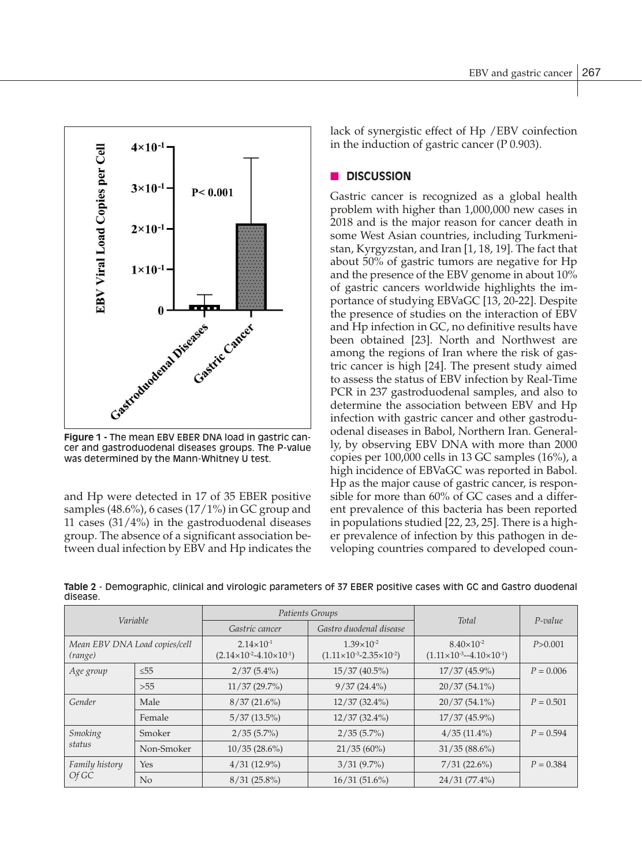

cer and gastroduodenal diseases groups. The P-value was determined by the Mann-Whitney U test.

and Hp were detected in 17 of 35 EBER positive samples  $(48.6\%)$ , 6 cases  $(17/1\%)$  in GC group and 11 cases (31/4%) in the gastroduodenal diseases group. The absence of a significant association between dual infection by EBV and Hp indicates the lack of synergistic effect of Hp /EBV coinfection in the induction of gastric cancer (P 0.903).

# n **DISCUSSION**

Gastric cancer is recognized as a global health problem with higher than 1,000,000 new cases in 2018 and is the major reason for cancer death in some West Asian countries, including Turkmenistan, Kyrgyzstan, and Iran [1, 18, 19]. The fact that about 50% of gastric tumors are negative for Hp and the presence of the EBV genome in about 10% of gastric cancers worldwide highlights the importance of studying EBVaGC [13, 20-22]. Despite the presence of studies on the interaction of EBV and Hp infection in GC, no definitive results have been obtained [23]. North and Northwest are among the regions of Iran where the risk of gastric cancer is high [24]. The present study aimed to assess the status of EBV infection by Real-Time PCR in 237 gastroduodenal samples, and also to determine the association between EBV and Hp infection with gastric cancer and other gastroduodenal diseases in Babol, Northern Iran. Generally, by observing EBV DNA with more than 2000 copies per 100,000 cells in 13 GC samples (16%), a high incidence of EBVaGC was reported in Babol. Hp as the major cause of gastric cancer, is responsible for more than 60% of GC cases and a different prevalence of this bacteria has been reported in populations studied [22, 23, 25]. There is a higher prevalence of infection by this pathogen in developing countries compared to developed coun-

| Variable                                 |                |                                                                  | Patients Groups                                                  | <b>Total</b>                                                     | $P$ -value  |  |  |  |  |  |  |
|------------------------------------------|----------------|------------------------------------------------------------------|------------------------------------------------------------------|------------------------------------------------------------------|-------------|--|--|--|--|--|--|
|                                          |                | Gastro duodenal disease<br>Gastric cancer                        |                                                                  |                                                                  |             |  |  |  |  |  |  |
| Mean EBV DNA Load copies/cell<br>(range) |                | $2.14 \times 10^{-1}$<br>$(2.14\times10^{-2}-4.10\times10^{-1})$ | $1.39 \times 10^{-2}$<br>$(1.11\times10^{-3}-2.35\times10^{-2})$ | $8.40\times10^{-2}$<br>$(1.11\times10^{-3} - 4.10\times10^{-1})$ | P > 0.001   |  |  |  |  |  |  |
| Age group                                | $\leq$ 55      | $2/37(5.4\%)$                                                    | $15/37(40.5\%)$                                                  | $17/37(45.9\%)$                                                  | $P = 0.006$ |  |  |  |  |  |  |
|                                          | >55            | $11/37(29.7\%)$                                                  | $9/37(24.4\%)$                                                   | $20/37(54.1\%)$                                                  |             |  |  |  |  |  |  |
| Gender                                   | Male           | 8/37(21.6%)                                                      | $12/37(32.4\%)$                                                  | $20/37(54.1\%)$                                                  | $P = 0.501$ |  |  |  |  |  |  |
|                                          | Female         | $5/37(13.5\%)$                                                   | $12/37(32.4\%)$                                                  | $17/37(45.9\%)$                                                  |             |  |  |  |  |  |  |
| Smoking<br>status                        | Smoker         | $2/35(5.7\%)$                                                    | $2/35(5.7\%)$                                                    | $4/35(11.4\%)$                                                   | $P = 0.594$ |  |  |  |  |  |  |
|                                          | Non-Smoker     | $10/35(28.6\%)$                                                  | $21/35(60\%)$                                                    | $31/35(88.6\%)$                                                  |             |  |  |  |  |  |  |
| Family history<br>Of GC                  | Yes            | $4/31(12.9\%)$                                                   | $3/31(9.7\%)$                                                    | 7/31(22.6%)                                                      | $P = 0.384$ |  |  |  |  |  |  |
|                                          | N <sub>o</sub> | $8/31(25.8\%)$                                                   | 16/31(51.6%)                                                     | $24/31(77.4\%)$                                                  |             |  |  |  |  |  |  |

**Table 2** - Demographic, clinical and virologic parameters of 37 EBER positive cases with GC and Gastro duodenal disease.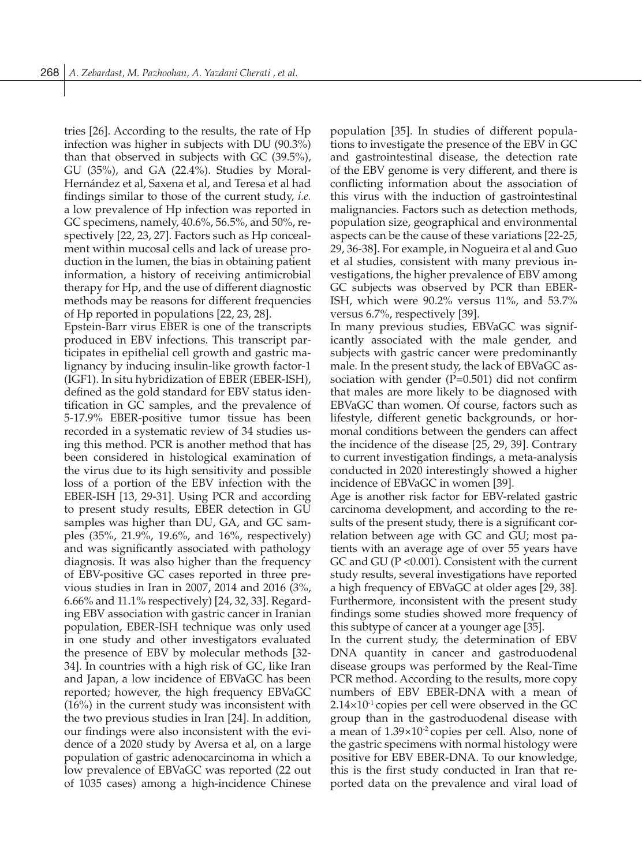tries [26]. According to the results, the rate of Hp infection was higher in subjects with DU (90.3%) than that observed in subjects with GC (39.5%), GU (35%), and GA (22.4%). Studies by Moral-Hernández et al, Saxena et al, and Teresa et al had findings similar to those of the current study, *i.e.* a low prevalence of Hp infection was reported in GC specimens, namely, 40.6%, 56.5%, and 50%, respectively [22, 23, 27]. Factors such as Hp concealment within mucosal cells and lack of urease production in the lumen, the bias in obtaining patient information, a history of receiving antimicrobial therapy for Hp, and the use of different diagnostic methods may be reasons for different frequencies of Hp reported in populations [22, 23, 28].

Epstein-Barr virus EBER is one of the transcripts produced in EBV infections. This transcript participates in epithelial cell growth and gastric malignancy by inducing insulin-like growth factor-1 (IGF1). In situ hybridization of EBER (EBER-ISH), defined as the gold standard for EBV status identification in GC samples, and the prevalence of 5-17.9% EBER-positive tumor tissue has been recorded in a systematic review of 34 studies using this method. PCR is another method that has been considered in histological examination of the virus due to its high sensitivity and possible loss of a portion of the EBV infection with the EBER-ISH [13, 29-31]. Using PCR and according to present study results, EBER detection in GU samples was higher than DU, GA, and GC samples (35%, 21.9%, 19.6%, and 16%, respectively) and was significantly associated with pathology diagnosis. It was also higher than the frequency of EBV-positive GC cases reported in three previous studies in Iran in 2007, 2014 and 2016 (3%, 6.66% and 11.1% respectively) [24, 32, 33]. Regarding EBV association with gastric cancer in Iranian population, EBER-ISH technique was only used in one study and other investigators evaluated the presence of EBV by molecular methods [32- 34]. In countries with a high risk of GC, like Iran and Japan, a low incidence of EBVaGC has been reported; however, the high frequency EBVaGC (16%) in the current study was inconsistent with the two previous studies in Iran [24]. In addition, our findings were also inconsistent with the evidence of a 2020 study by Aversa et al, on a large population of gastric adenocarcinoma in which a low prevalence of EBVaGC was reported (22 out of 1035 cases) among a high-incidence Chinese

population [35]. In studies of different populations to investigate the presence of the EBV in GC and gastrointestinal disease, the detection rate of the EBV genome is very different, and there is conflicting information about the association of this virus with the induction of gastrointestinal malignancies. Factors such as detection methods, population size, geographical and environmental aspects can be the cause of these variations [22-25, 29, 36-38]. For example, in Nogueira et al and Guo et al studies, consistent with many previous investigations, the higher prevalence of EBV among GC subjects was observed by PCR than EBER-ISH, which were 90.2% versus 11%, and 53.7% versus 6.7%, respectively [39].

In many previous studies, EBVaGC was significantly associated with the male gender, and subjects with gastric cancer were predominantly male. In the present study, the lack of EBVaGC association with gender  $(P=0.501)$  did not confirm that males are more likely to be diagnosed with EBVaGC than women. Of course, factors such as lifestyle, different genetic backgrounds, or hormonal conditions between the genders can affect the incidence of the disease [25, 29, 39]. Contrary to current investigation findings, a meta-analysis conducted in 2020 interestingly showed a higher incidence of EBVaGC in women [39].

Age is another risk factor for EBV-related gastric carcinoma development, and according to the results of the present study, there is a significant correlation between age with GC and GU; most patients with an average age of over 55 years have GC and GU (P <0.001). Consistent with the current study results, several investigations have reported a high frequency of EBVaGC at older ages [29, 38]. Furthermore, inconsistent with the present study findings some studies showed more frequency of this subtype of cancer at a younger age [35].

In the current study, the determination of EBV DNA quantity in cancer and gastroduodenal disease groups was performed by the Real-Time PCR method. According to the results, more copy numbers of EBV EBER-DNA with a mean of  $2.14\times10^{-1}$  copies per cell were observed in the GC group than in the gastroduodenal disease with a mean of  $1.39 \times 10^{-2}$  copies per cell. Also, none of the gastric specimens with normal histology were positive for EBV EBER-DNA. To our knowledge, this is the first study conducted in Iran that reported data on the prevalence and viral load of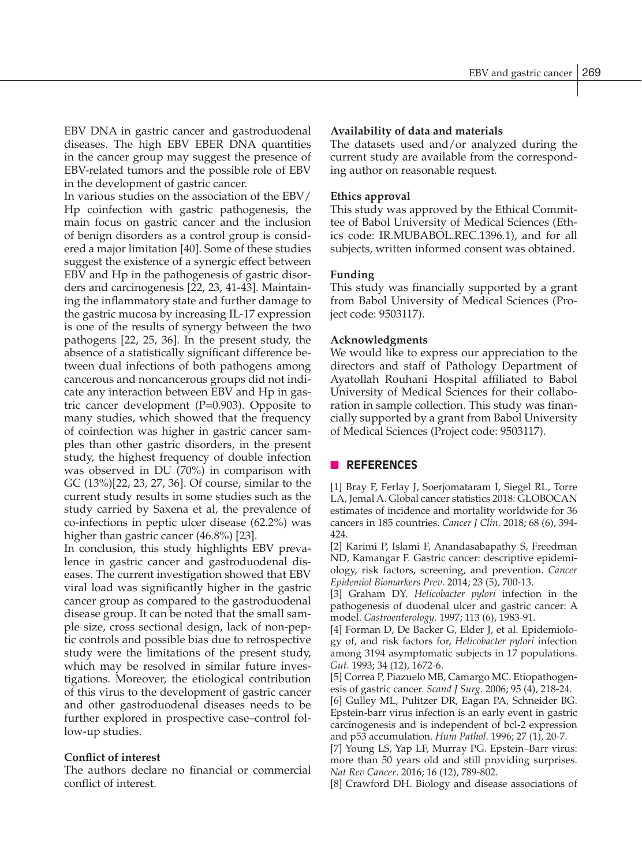EBV DNA in gastric cancer and gastroduodenal diseases. The high EBV EBER DNA quantities in the cancer group may suggest the presence of EBV-related tumors and the possible role of EBV in the development of gastric cancer.

In various studies on the association of the EBV/ Hp coinfection with gastric pathogenesis, the main focus on gastric cancer and the inclusion of benign disorders as a control group is considered a major limitation [40]. Some of these studies suggest the existence of a synergic effect between EBV and Hp in the pathogenesis of gastric disorders and carcinogenesis [22, 23, 41-43]. Maintaining the inflammatory state and further damage to the gastric mucosa by increasing IL-17 expression is one of the results of synergy between the two pathogens [22, 25, 36]. In the present study, the absence of a statistically significant difference between dual infections of both pathogens among cancerous and noncancerous groups did not indicate any interaction between EBV and Hp in gastric cancer development (P=0.903). Opposite to many studies, which showed that the frequency of coinfection was higher in gastric cancer samples than other gastric disorders, in the present study, the highest frequency of double infection was observed in DU (70%) in comparison with GC (13%)[22, 23, 27, 36]. Of course, similar to the current study results in some studies such as the study carried by Saxena et al, the prevalence of co-infections in peptic ulcer disease (62.2%) was higher than gastric cancer (46.8%) [23].

In conclusion, this study highlights EBV prevalence in gastric cancer and gastroduodenal diseases. The current investigation showed that EBV viral load was significantly higher in the gastric cancer group as compared to the gastroduodenal disease group. It can be noted that the small sample size, cross sectional design, lack of non-peptic controls and possible bias due to retrospective study were the limitations of the present study, which may be resolved in similar future investigations. Moreover, the etiological contribution of this virus to the development of gastric cancer and other gastroduodenal diseases needs to be further explored in prospective case–control follow-up studies.

# **Conflict of interest**

The authors declare no financial or commercial conflict of interest.

## **Availability of data and materials**

The datasets used and/or analyzed during the current study are available from the corresponding author on reasonable request.

# **Ethics approval**

This study was approved by the Ethical Committee of Babol University of Medical Sciences (Ethics code: IR.MUBABOL.REC.1396.1), and for all subjects, written informed consent was obtained.

### **Funding**

This study was financially supported by a grant from Babol University of Medical Sciences (Project code: 9503117).

### **Acknowledgments**

We would like to express our appreciation to the directors and staff of Pathology Department of Ayatollah Rouhani Hospital affiliated to Babol University of Medical Sciences for their collaboration in sample collection. This study was financially supported by a grant from Babol University of Medical Sciences (Project code: 9503117).

# n **REFERENCES**

[1] Bray F, Ferlay J, Soerjomataram I, Siegel RL, Torre LA, Jemal A. Global cancer statistics 2018: GLOBOCAN estimates of incidence and mortality worldwide for 36 cancers in 185 countries. *Cancer J Clin*. 2018; 68 (6), 394- 424.

[2] Karimi P, Islami F, Anandasabapathy S, Freedman ND, Kamangar F. Gastric cancer: descriptive epidemiology, risk factors, screening, and prevention. *Cancer Epidemiol Biomarkers Prev*. 2014; 23 (5), 700-13.

[3] Graham DY. *Helicobacter pylori* infection in the pathogenesis of duodenal ulcer and gastric cancer: A model. *Gastroenterology*. 1997; 113 (6), 1983-91.

[4] Forman D, De Backer G, Elder J, et al. Epidemiology of, and risk factors for, *Helicobacter pylori* infection among 3194 asymptomatic subjects in 17 populations. *Gut*. 1993; 34 (12), 1672-6.

[5] Correa P, Piazuelo MB, Camargo MC. Etiopathogenesis of gastric cancer. *Scand J Surg*. 2006; 95 (4), 218-24.

[6] Gulley ML, Pulitzer DR, Eagan PA, Schneider BG. Epstein-barr virus infection is an early event in gastric carcinogenesis and is independent of bcl-2 expression and p53 accumulation. *Hum Pathol*. 1996; 27 (1), 20-7.

[7] Young LS, Yap LF, Murray PG. Epstein–Barr virus: more than 50 years old and still providing surprises. *Nat Rev Cancer*. 2016; 16 (12), 789-802.

[8] Crawford DH. Biology and disease associations of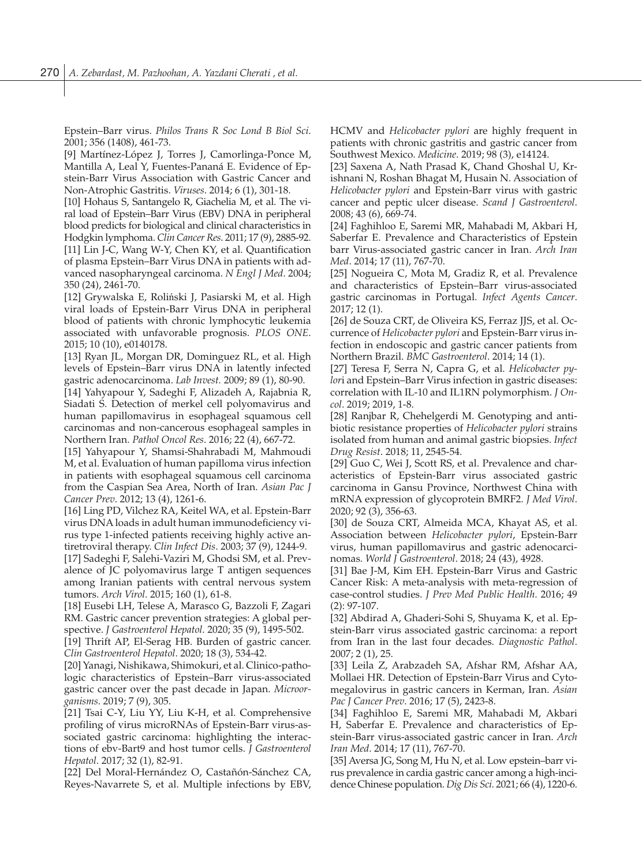Epstein–Barr virus. *Philos Trans R Soc Lond B Biol Sci*. 2001; 356 (1408), 461-73.

[9] Martínez-López J, Torres J, Camorlinga-Ponce M, Mantilla A, Leal Y, Fuentes-Pananá E. Evidence of Epstein-Barr Virus Association with Gastric Cancer and Non-Atrophic Gastritis. *Viruses*. 2014; 6 (1), 301-18.

[10] Hohaus S, Santangelo R, Giachelia M, et al. The viral load of Epstein–Barr Virus (EBV) DNA in peripheral blood predicts for biological and clinical characteristics in Hodgkin lymphoma. *Clin Cancer Res*. 2011; 17 (9), 2885-92. [11] Lin J-C, Wang W-Y, Chen KY, et al. Quantification of plasma Epstein–Barr Virus DNA in patients with advanced nasopharyngeal carcinoma. *N Engl J Med*. 2004; 350 (24), 2461-70.

[12] Grywalska E, Roliński J, Pasiarski M, et al. High viral loads of Epstein-Barr Virus DNA in peripheral blood of patients with chronic lymphocytic leukemia associated with unfavorable prognosis. *PLOS ONE*. 2015; 10 (10), e0140178.

[13] Ryan JL, Morgan DR, Dominguez RL, et al. High levels of Epstein–Barr virus DNA in latently infected gastric adenocarcinoma. *Lab Invest.* 2009; 89 (1), 80-90.

[14] Yahyapour Y, Sadeghi F, Alizadeh A, Rajabnia R, Siadati S. Detection of merkel cell polyomavirus and human papillomavirus in esophageal squamous cell carcinomas and non-cancerous esophageal samples in Northern Iran. *Pathol Oncol Res*. 2016; 22 (4), 667-72.

[15] Yahyapour Y, Shamsi-Shahrabadi M, Mahmoudi M, et al. Evaluation of human papilloma virus infection in patients with esophageal squamous cell carcinoma from the Caspian Sea Area, North of Iran. *Asian Pac J Cancer Prev*. 2012; 13 (4), 1261-6.

[16] Ling PD, Vilchez RA, Keitel WA, et al. Epstein-Barr virus DNA loads in adult human immunodeficiency virus type 1-infected patients receiving highly active antiretroviral therapy. *Clin Infect Dis*. 2003; 37 (9), 1244-9.

[17] Sadeghi F, Salehi-Vaziri M, Ghodsi SM, et al. Prevalence of JC polyomavirus large T antigen sequences among Iranian patients with central nervous system tumors. *Arch Virol.* 2015; 160 (1), 61-8.

[18] Eusebi LH, Telese A, Marasco G, Bazzoli F, Zagari RM. Gastric cancer prevention strategies: A global perspective. *J Gastroenterol Hepatol*. 2020; 35 (9), 1495-502.

[19] Thrift AP, El-Serag HB. Burden of gastric cancer. *Clin Gastroenterol Hepatol*. 2020; 18 (3), 534-42.

[20] Yanagi, Nishikawa, Shimokuri, et al. Clinico-pathologic characteristics of Epstein–Barr virus-associated gastric cancer over the past decade in Japan. *Microorganisms*. 2019; 7 (9), 305.

[21] Tsai C-Y, Liu YY, Liu K-H, et al. Comprehensive profiling of virus microRNAs of Epstein-Barr virus-associated gastric carcinoma: highlighting the interactions of ebv-Bart9 and host tumor cells. *J Gastroenterol Hepatol*. 2017; 32 (1), 82-91.

[22] Del Moral-Hernández O, Castañón-Sánchez CA, Reyes-Navarrete S, et al. Multiple infections by EBV, HCMV and *Helicobacter pylori* are highly frequent in patients with chronic gastritis and gastric cancer from Southwest Mexico. *Medicine*. 2019; 98 (3), e14124.

[23] Saxena A, Nath Prasad K, Chand Ghoshal U, Krishnani N, Roshan Bhagat M, Husain N. Association of *Helicobacter pylori* and Epstein-Barr virus with gastric cancer and peptic ulcer disease. *Scand J Gastroenterol*. 2008; 43 (6), 669-74.

[24] Faghihloo E, Saremi MR, Mahabadi M, Akbari H, Saberfar E. Prevalence and Characteristics of Epstein barr Virus-associated gastric cancer in Iran. *Arch Iran Med*. 2014; 17 (11), 767-70.

[25] Nogueira C, Mota M, Gradiz R, et al. Prevalence and characteristics of Epstein–Barr virus-associated gastric carcinomas in Portugal. *Infect Agents Cancer*. 2017; 12 (1).

[26] de Souza CRT, de Oliveira KS, Ferraz JJS, et al. Occurrence of *Helicobacter pylori* and Epstein-Barr virus infection in endoscopic and gastric cancer patients from Northern Brazil. *BMC Gastroenterol*. 2014; 14 (1).

[27] Teresa F, Serra N, Capra G, et al. *Helicobacter pylor*i and Epstein–Barr Virus infection in gastric diseases: correlation with IL-10 and IL1RN polymorphism. *J Oncol*. 2019; 2019, 1-8.

[28] Ranjbar R, Chehelgerdi M. Genotyping and antibiotic resistance properties of *Helicobacter pylori* strains isolated from human and animal gastric biopsies. *Infect Drug Resist*. 2018; 11, 2545-54.

[29] Guo C, Wei J, Scott RS, et al. Prevalence and characteristics of Epstein-Barr virus associated gastric carcinoma in Gansu Province, Northwest China with mRNA expression of glycoprotein BMRF2. *J Med Virol*. 2020; 92 (3), 356-63.

[30] de Souza CRT, Almeida MCA, Khayat AS, et al. Association between *Helicobacter pylori*, Epstein-Barr virus, human papillomavirus and gastric adenocarcinomas. *World J Gastroenterol*. 2018; 24 (43), 4928.

[31] Bae J-M, Kim EH. Epstein-Barr Virus and Gastric Cancer Risk: A meta-analysis with meta-regression of case-control studies. *J Prev Med Public Health*. 2016; 49 (2): 97-107.

[32] Abdirad A, Ghaderi-Sohi S, Shuyama K, et al. Epstein-Barr virus associated gastric carcinoma: a report from Iran in the last four decades. *Diagnostic Pathol*. 2007; 2 (1), 25.

[33] Leila Z, Arabzadeh SA, Afshar RM, Afshar AA, Mollaei HR. Detection of Epstein-Barr Virus and Cytomegalovirus in gastric cancers in Kerman, Iran. *Asian Pac J Cancer Prev*. 2016; 17 (5), 2423-8.

[34] Faghihloo E, Saremi MR, Mahabadi M, Akbari H, Saberfar E. Prevalence and characteristics of Epstein-Barr virus-associated gastric cancer in Iran. *Arch Iran Med*. 2014; 17 (11), 767-70.

[35] Aversa JG, Song M, Hu N, et al. Low epstein–barr virus prevalence in cardia gastric cancer among a high-incidence Chinese population. *Dig Dis Sci*. 2021; 66 (4), 1220-6.